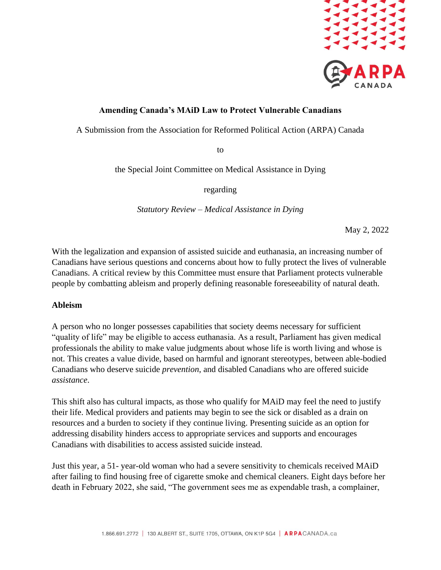

# **Amending Canada's MAiD Law to Protect Vulnerable Canadians**

A Submission from the Association for Reformed Political Action (ARPA) Canada

to

the Special Joint Committee on Medical Assistance in Dying

regarding

*Statutory Review – Medical Assistance in Dying*

May 2, 2022

With the legalization and expansion of assisted suicide and euthanasia, an increasing number of Canadians have serious questions and concerns about how to fully protect the lives of vulnerable Canadians. A critical review by this Committee must ensure that Parliament protects vulnerable people by combatting ableism and properly defining reasonable foreseeability of natural death.

### **Ableism**

A person who no longer possesses capabilities that society deems necessary for sufficient "quality of life" may be eligible to access euthanasia. As a result, Parliament has given medical professionals the ability to make value judgments about whose life is worth living and whose is not. This creates a value divide, based on harmful and ignorant stereotypes, between able-bodied Canadians who deserve suicide *prevention*, and disabled Canadians who are offered suicide *assistance*.

This shift also has cultural impacts, as those who qualify for MAiD may feel the need to justify their life. Medical providers and patients may begin to see the sick or disabled as a drain on resources and a burden to society if they continue living. Presenting suicide as an option for addressing disability hinders access to appropriate services and supports and encourages Canadians with disabilities to access assisted suicide instead.

Just this year, a 51- year-old woman who had a severe sensitivity to chemicals received MAiD after failing to find housing free of cigarette smoke and chemical cleaners. Eight days before her death in February 2022, she said, "The government sees me as expendable trash, a complainer,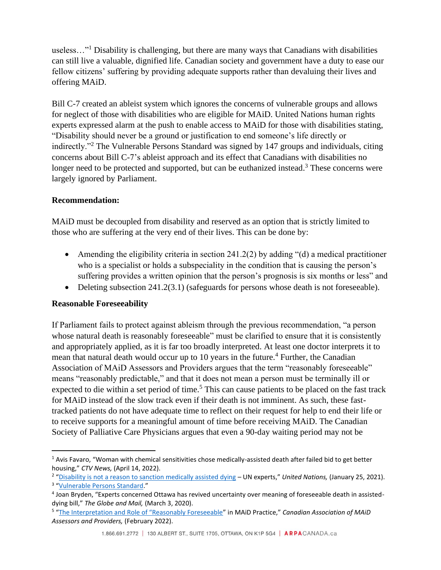useless..."<sup>1</sup> Disability is challenging, but there are many ways that Canadians with disabilities can still live a valuable, dignified life. Canadian society and government have a duty to ease our fellow citizens' suffering by providing adequate supports rather than devaluing their lives and offering MAiD.

Bill C-7 created an ableist system which ignores the concerns of vulnerable groups and allows for neglect of those with disabilities who are eligible for MAiD. United Nations human rights experts expressed alarm at the push to enable access to MAiD for those with disabilities stating, "Disability should never be a ground or justification to end someone's life directly or indirectly."<sup>2</sup> The Vulnerable Persons Standard was signed by 147 groups and individuals, citing concerns about Bill C-7's ableist approach and its effect that Canadians with disabilities no longer need to be protected and supported, but can be euthanized instead.<sup>3</sup> These concerns were largely ignored by Parliament.

# **Recommendation:**

MAiD must be decoupled from disability and reserved as an option that is strictly limited to those who are suffering at the very end of their lives. This can be done by:

- Amending the eligibility criteria in section 241.2(2) by adding "(d) a medical practitioner who is a specialist or holds a subspeciality in the condition that is causing the person's suffering provides a written opinion that the person's prognosis is six months or less" and
- Deleting subsection 241.2(3.1) (safeguards for persons whose death is not foreseeable).

# **Reasonable Foreseeability**

If Parliament fails to protect against ableism through the previous recommendation, "a person whose natural death is reasonably foreseeable" must be clarified to ensure that it is consistently and appropriately applied, as it is far too broadly interpreted. At least one doctor interprets it to mean that natural death would occur up to 10 years in the future.<sup>4</sup> Further, the Canadian Association of MAiD Assessors and Providers argues that the term "reasonably foreseeable" means "reasonably predictable," and that it does not mean a person must be terminally ill or expected to die within a set period of time.<sup>5</sup> This can cause patients to be placed on the fast track for MAiD instead of the slow track even if their death is not imminent. As such, these fasttracked patients do not have adequate time to reflect on their request for help to end their life or to receive supports for a meaningful amount of time before receiving MAiD. The Canadian Society of Palliative Care Physicians argues that even a 90-day waiting period may not be

<sup>&</sup>lt;sup>1</sup> Avis Favaro, "Woman with chemical sensitivities chose medically-assisted death after failed bid to get better housing," *CTV News,* (April 14, 2022).

<sup>&</sup>lt;sup>2</sup> "[Disability is not a reason to sanction medically assisted dying](https://www.ohchr.org/en/press-releases/2021/01/disability-not-reason-sanction-medically-assisted-dying-un-experts?LangID=E&NewsID=26687) – UN experts," *United Nations,* (January 25, 2021).

<sup>&</sup>lt;sup>3</sup> "[Vulnerable Persons Standard](http://www.vps-npv.ca/stopc7)."

<sup>4</sup> Joan Bryden, "Experts concerned Ottawa has revived uncertainty over meaning of foreseeable death in assisteddying bill," *The Globe and Mail,* (March 3, 2020).

<sup>5</sup> ["The Interpretation and Role of "Reasonably Foreseeable"](https://camapcanada.ca/wp-content/uploads/2022/03/The-Interpretation-and-Role-of-22Reasonably-Foreseeable22-in-MAiD-Practice-Feb-2022.pdf) in MAiD Practice," *Canadian Association of MAiD Assessors and Providers,* (February 2022).